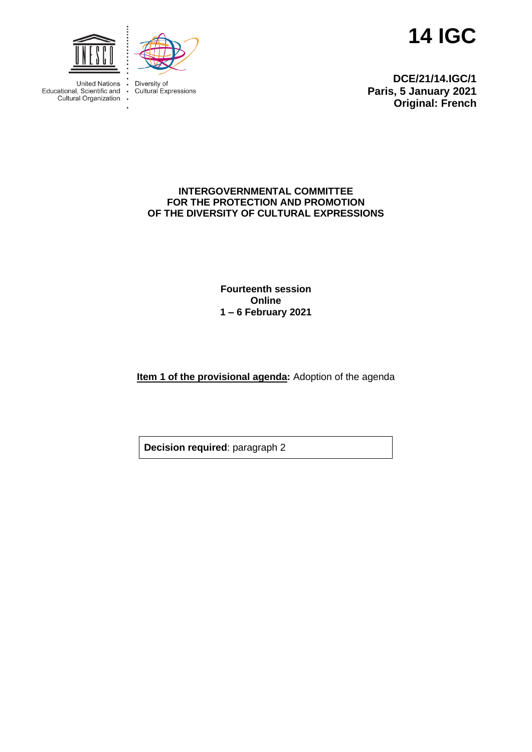



**United Nations** Educational, Scientific and<br>Cultural Organization

Diversity of  $\ddot{\phantom{a}}$ Cultural Expressions

 $\cdot$  $\overline{\phantom{a}}$ 

**14 IGC**

**DCE/21/14.IGC/1 Paris, 5 January 2021 Original: French**

## **INTERGOVERNMENTAL COMMITTEE FOR THE PROTECTION AND PROMOTION OF THE DIVERSITY OF CULTURAL EXPRESSIONS**

**Fourteenth session Online 1 – 6 February 2021**

**Item 1 of the provisional agenda:** Adoption of the agenda

**Decision required**: paragraph 2